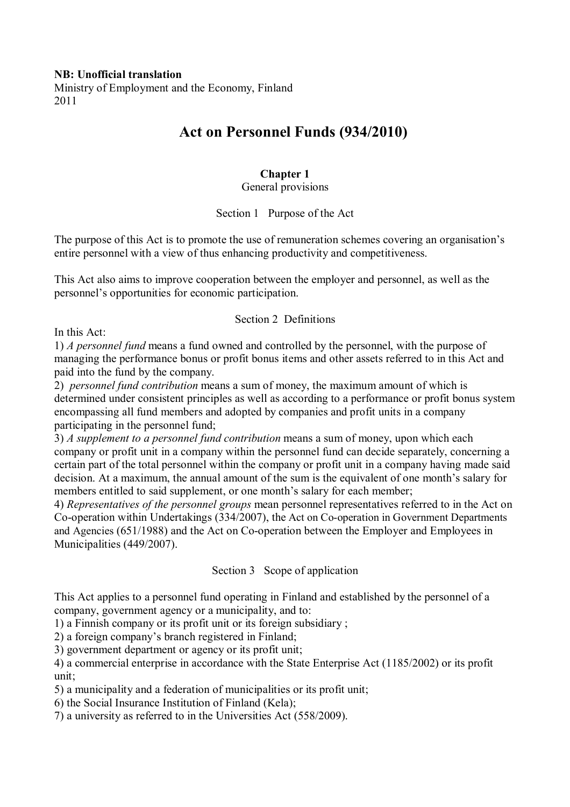# **NB: Unofficial translation**

Ministry of Employment and the Economy, Finland 2011

# **Act on Personnel Funds (934/2010)**

### **Chapter 1**

### General provisions

### Section 1 Purpose of the Act

The purpose of this Act is to promote the use of remuneration schemes covering an organisation's entire personnel with a view of thus enhancing productivity and competitiveness.

This Act also aims to improve cooperation between the employer and personnel, as well as the personnel's opportunities for economic participation.

### Section 2 Definitions

In this Act:

1) *A personnel fund* means a fund owned and controlled by the personnel, with the purpose of managing the performance bonus or profit bonus items and other assets referred to in this Act and paid into the fund by the company.

2) *personnel fund contribution* means a sum of money, the maximum amount of which is determined under consistent principles as well as according to a performance or profit bonus system encompassing all fund members and adopted by companies and profit units in a company participating in the personnel fund;

3) *A supplement to a personnel fund contribution* means a sum of money, upon which each company or profit unit in a company within the personnel fund can decide separately, concerning a certain part of the total personnel within the company or profit unit in a company having made said decision. At a maximum, the annual amount of the sum is the equivalent of one month's salary for members entitled to said supplement, or one month's salary for each member;

4) *Representatives of the personnel groups* mean personnel representatives referred to in the Act on Co-operation within Undertakings (334/2007), the Act on Co-operation in Government Departments and Agencies (651/1988) and the Act on Co-operation between the Employer and Employees in Municipalities (449/2007).

Section 3 Scope of application

This Act applies to a personnel fund operating in Finland and established by the personnel of a company, government agency or a municipality, and to:

1) a Finnish company or its profit unit or its foreign subsidiary ;

2) a foreign company's branch registered in Finland;

3) government department or agency or its profit unit;

4) a commercial enterprise in accordance with the State Enterprise Act (1185/2002) or its profit unit:

5) a municipality and a federation of municipalities or its profit unit;

6) the Social Insurance Institution of Finland (Kela);

7) a university as referred to in the Universities Act (558/2009).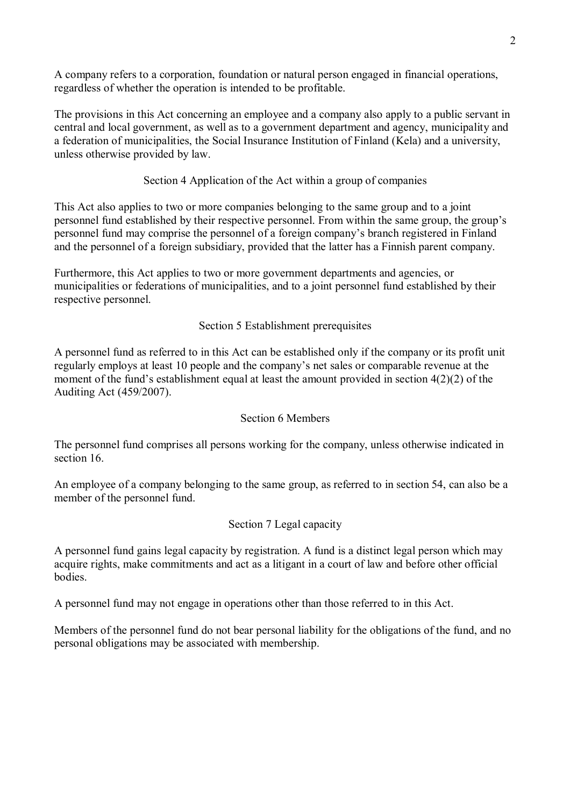A company refers to a corporation, foundation or natural person engaged in financial operations, regardless of whether the operation is intended to be profitable.

The provisions in this Act concerning an employee and a company also apply to a public servant in central and local government, as well as to a government department and agency, municipality and a federation of municipalities, the Social Insurance Institution of Finland (Kela) and a university, unless otherwise provided by law.

# Section 4 Application of the Act within a group of companies

This Act also applies to two or more companies belonging to the same group and to a joint personnel fund established by their respective personnel. From within the same group, the group's personnel fund may comprise the personnel of a foreign company's branch registered in Finland and the personnel of a foreign subsidiary, provided that the latter has a Finnish parent company.

Furthermore, this Act applies to two or more government departments and agencies, or municipalities or federations of municipalities, and to a joint personnel fund established by their respective personnel.

# Section 5 Establishment prerequisites

A personnel fund as referred to in this Act can be established only if the company or its profit unit regularly employs at least 10 people and the company's net sales or comparable revenue at the moment of the fund's establishment equal at least the amount provided in section 4(2)(2) of the Auditing Act (459/2007).

# Section 6 Members

The personnel fund comprises all persons working for the company, unless otherwise indicated in section 16

An employee of a company belonging to the same group, as referred to in section 54, can also be a member of the personnel fund.

# Section 7 Legal capacity

A personnel fund gains legal capacity by registration. A fund is a distinct legal person which may acquire rights, make commitments and act as a litigant in a court of law and before other official **bodies** 

A personnel fund may not engage in operations other than those referred to in this Act.

Members of the personnel fund do not bear personal liability for the obligations of the fund, and no personal obligations may be associated with membership.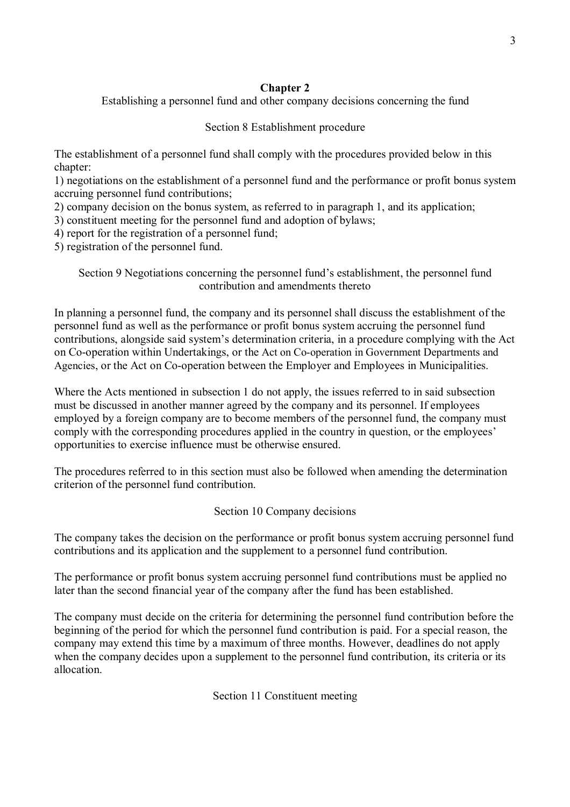# **Chapter 2**

Establishing a personnel fund and other company decisions concerning the fund

# Section 8 Establishment procedure

The establishment of a personnel fund shall comply with the procedures provided below in this chapter:

1) negotiations on the establishment of a personnel fund and the performance or profit bonus system accruing personnel fund contributions;

2) company decision on the bonus system, as referred to in paragraph 1, and its application;

3) constituent meeting for the personnel fund and adoption of bylaws;

4) report for the registration of a personnel fund;

5) registration of the personnel fund.

Section 9 Negotiations concerning the personnel fund's establishment, the personnel fund contribution and amendments thereto

In planning a personnel fund, the company and its personnel shall discuss the establishment of the personnel fund as well as the performance or profit bonus system accruing the personnel fund contributions, alongside said system's determination criteria, in a procedure complying with the Act on Co-operation within Undertakings, or the Act on Co-operation in Government Departments and Agencies, or the Act on Co-operation between the Employer and Employees in Municipalities.

Where the Acts mentioned in subsection 1 do not apply, the issues referred to in said subsection must be discussed in another manner agreed by the company and its personnel. If employees employed by a foreign company are to become members of the personnel fund, the company must comply with the corresponding procedures applied in the country in question, or the employees' opportunities to exercise influence must be otherwise ensured.

The procedures referred to in this section must also be followed when amending the determination criterion of the personnel fund contribution.

Section 10 Company decisions

The company takes the decision on the performance or profit bonus system accruing personnel fund contributions and its application and the supplement to a personnel fund contribution.

The performance or profit bonus system accruing personnel fund contributions must be applied no later than the second financial year of the company after the fund has been established.

The company must decide on the criteria for determining the personnel fund contribution before the beginning of the period for which the personnel fund contribution is paid. For a special reason, the company may extend this time by a maximum of three months. However, deadlines do not apply when the company decides upon a supplement to the personnel fund contribution, its criteria or its allocation.

Section 11 Constituent meeting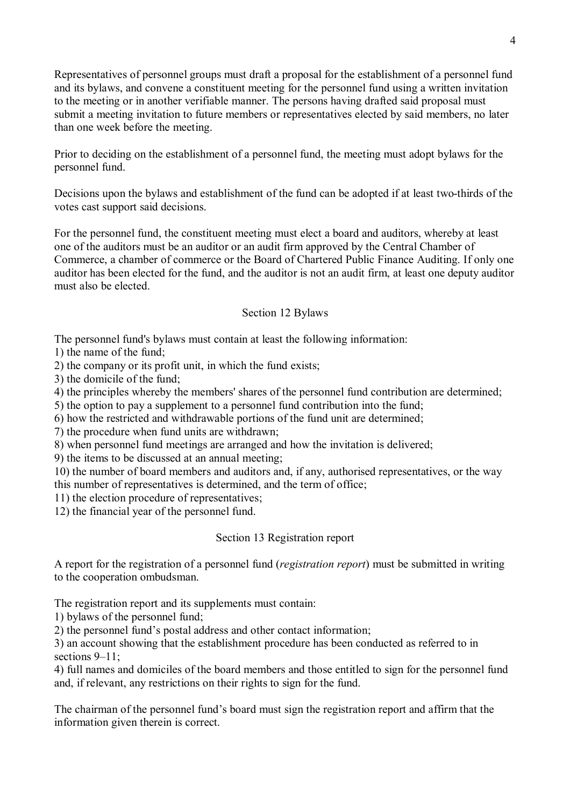Representatives of personnel groups must draft a proposal for the establishment of a personnel fund and its bylaws, and convene a constituent meeting for the personnel fund using a written invitation to the meeting or in another verifiable manner. The persons having drafted said proposal must submit a meeting invitation to future members or representatives elected by said members, no later than one week before the meeting.

Prior to deciding on the establishment of a personnel fund, the meeting must adopt bylaws for the personnel fund.

Decisions upon the bylaws and establishment of the fund can be adopted if at least two-thirds of the votes cast support said decisions.

For the personnel fund, the constituent meeting must elect a board and auditors, whereby at least one of the auditors must be an auditor or an audit firm approved by the Central Chamber of Commerce, a chamber of commerce or the Board of Chartered Public Finance Auditing. If only one auditor has been elected for the fund, and the auditor is not an audit firm, at least one deputy auditor must also be elected.

### Section 12 Bylaws

The personnel fund's bylaws must contain at least the following information:

1) the name of the fund;

2) the company or its profit unit, in which the fund exists;

3) the domicile of the fund;

4) the principles whereby the members' shares of the personnel fund contribution are determined;

5) the option to pay a supplement to a personnel fund contribution into the fund;

6) how the restricted and withdrawable portions of the fund unit are determined;

7) the procedure when fund units are withdrawn;

8) when personnel fund meetings are arranged and how the invitation is delivered;

9) the items to be discussed at an annual meeting;

10) the number of board members and auditors and, if any, authorised representatives, or the way this number of representatives is determined, and the term of office;

11) the election procedure of representatives;

12) the financial year of the personnel fund.

### Section 13 Registration report

A report for the registration of a personnel fund (*registration report*) must be submitted in writing to the cooperation ombudsman.

The registration report and its supplements must contain:

1) bylaws of the personnel fund;

2) the personnel fund's postal address and other contact information;

3) an account showing that the establishment procedure has been conducted as referred to in sections  $9-11$ ;

4) full names and domiciles of the board members and those entitled to sign for the personnel fund and, if relevant, any restrictions on their rights to sign for the fund.

The chairman of the personnel fund's board must sign the registration report and affirm that the information given therein is correct.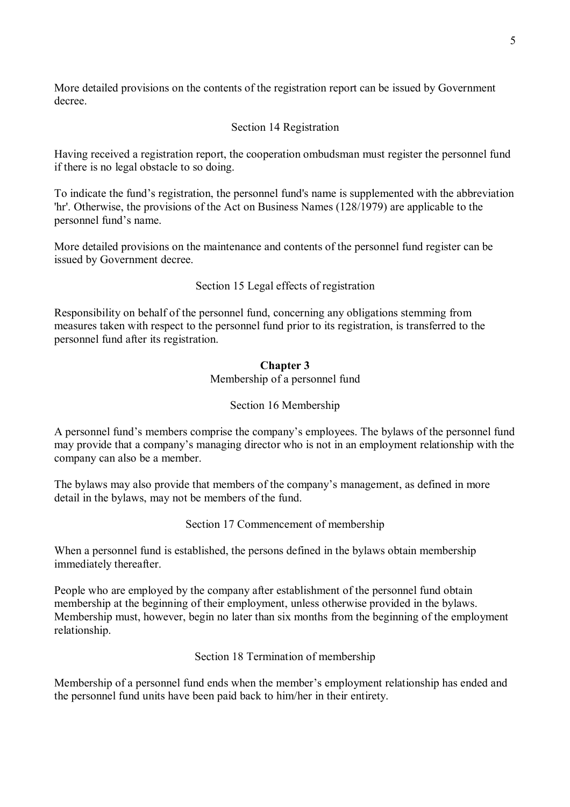More detailed provisions on the contents of the registration report can be issued by Government decree.

## Section 14 Registration

Having received a registration report, the cooperation ombudsman must register the personnel fund if there is no legal obstacle to so doing.

To indicate the fund's registration, the personnel fund's name is supplemented with the abbreviation 'hr'. Otherwise, the provisions of the Act on Business Names (128/1979) are applicable to the personnel fund's name.

More detailed provisions on the maintenance and contents of the personnel fund register can be issued by Government decree.

Section 15 Legal effects of registration

Responsibility on behalf of the personnel fund, concerning any obligations stemming from measures taken with respect to the personnel fund prior to its registration, is transferred to the personnel fund after its registration.

### **Chapter 3** Membership of a personnel fund

# Section 16 Membership

A personnel fund's members comprise the company's employees. The bylaws of the personnel fund may provide that a company's managing director who is not in an employment relationship with the company can also be a member.

The bylaws may also provide that members of the company's management, as defined in more detail in the bylaws, may not be members of the fund.

Section 17 Commencement of membership

When a personnel fund is established, the persons defined in the bylaws obtain membership immediately thereafter.

People who are employed by the company after establishment of the personnel fund obtain membership at the beginning of their employment, unless otherwise provided in the bylaws. Membership must, however, begin no later than six months from the beginning of the employment relationship.

Section 18 Termination of membership

Membership of a personnel fund ends when the member's employment relationship has ended and the personnel fund units have been paid back to him/her in their entirety.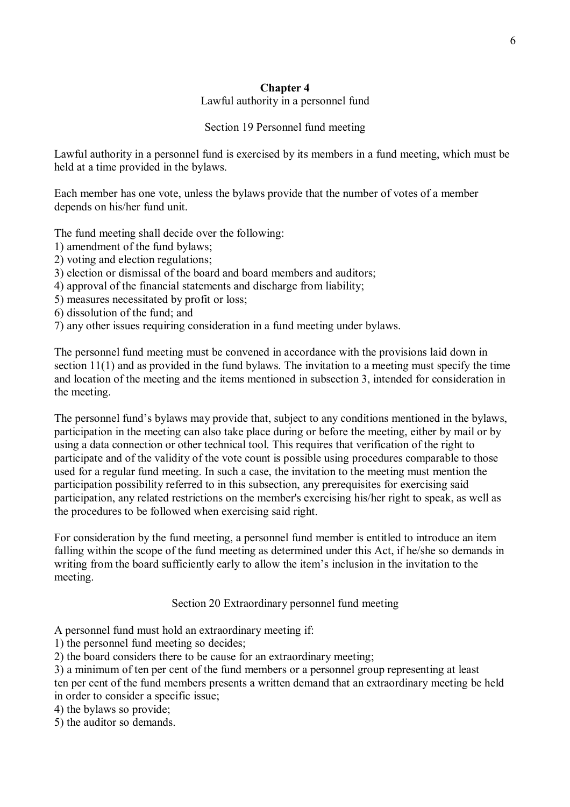#### **Chapter 4** Lawful authority in a personnel fund

# Section 19 Personnel fund meeting

Lawful authority in a personnel fund is exercised by its members in a fund meeting, which must be held at a time provided in the bylaws.

Each member has one vote, unless the bylaws provide that the number of votes of a member depends on his/her fund unit.

The fund meeting shall decide over the following:

- 1) amendment of the fund bylaws;
- 2) voting and election regulations;
- 3) election or dismissal of the board and board members and auditors;
- 4) approval of the financial statements and discharge from liability;
- 5) measures necessitated by profit or loss;
- 6) dissolution of the fund; and
- 7) any other issues requiring consideration in a fund meeting under bylaws.

The personnel fund meeting must be convened in accordance with the provisions laid down in section 11(1) and as provided in the fund bylaws. The invitation to a meeting must specify the time and location of the meeting and the items mentioned in subsection 3, intended for consideration in the meeting.

The personnel fund's bylaws may provide that, subject to any conditions mentioned in the bylaws, participation in the meeting can also take place during or before the meeting, either by mail or by using a data connection or other technical tool. This requires that verification of the right to participate and of the validity of the vote count is possible using procedures comparable to those used for a regular fund meeting. In such a case, the invitation to the meeting must mention the participation possibility referred to in this subsection, any prerequisites for exercising said participation, any related restrictions on the member's exercising his/her right to speak, as well as the procedures to be followed when exercising said right.

For consideration by the fund meeting, a personnel fund member is entitled to introduce an item falling within the scope of the fund meeting as determined under this Act, if he/she so demands in writing from the board sufficiently early to allow the item's inclusion in the invitation to the meeting.

Section 20 Extraordinary personnel fund meeting

A personnel fund must hold an extraordinary meeting if:

1) the personnel fund meeting so decides;

2) the board considers there to be cause for an extraordinary meeting;

3) a minimum of ten per cent of the fund members or a personnel group representing at least ten per cent of the fund members presents a written demand that an extraordinary meeting be held in order to consider a specific issue;

4) the bylaws so provide;

5) the auditor so demands.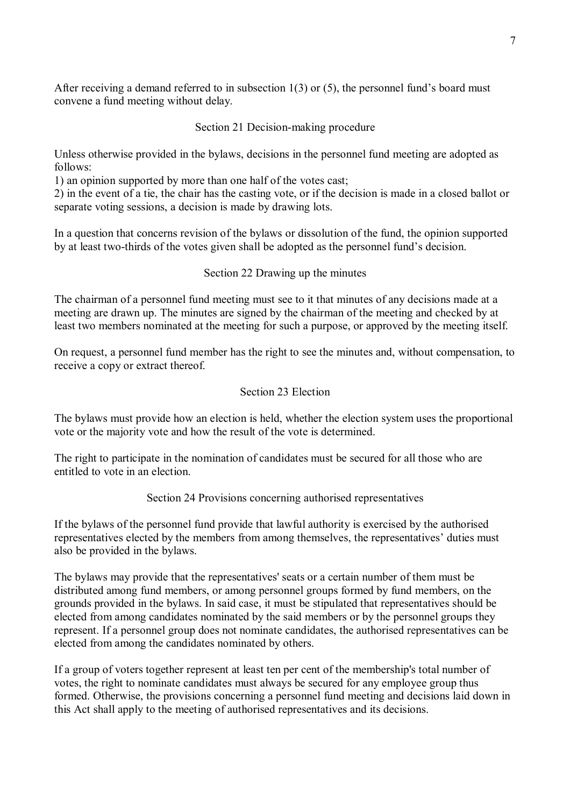After receiving a demand referred to in subsection 1(3) or (5), the personnel fund's board must convene a fund meeting without delay.

### Section 21 Decision-making procedure

Unless otherwise provided in the bylaws, decisions in the personnel fund meeting are adopted as follows:

1) an opinion supported by more than one half of the votes cast;

2) in the event of a tie, the chair has the casting vote, or if the decision is made in a closed ballot or separate voting sessions, a decision is made by drawing lots.

In a question that concerns revision of the bylaws or dissolution of the fund, the opinion supported by at least two-thirds of the votes given shall be adopted as the personnel fund's decision.

### Section 22 Drawing up the minutes

The chairman of a personnel fund meeting must see to it that minutes of any decisions made at a meeting are drawn up. The minutes are signed by the chairman of the meeting and checked by at least two members nominated at the meeting for such a purpose, or approved by the meeting itself.

On request, a personnel fund member has the right to see the minutes and, without compensation, to receive a copy or extract thereof.

### Section 23 Election

The bylaws must provide how an election is held, whether the election system uses the proportional vote or the majority vote and how the result of the vote is determined.

The right to participate in the nomination of candidates must be secured for all those who are entitled to vote in an election.

Section 24 Provisions concerning authorised representatives

If the bylaws of the personnel fund provide that lawful authority is exercised by the authorised representatives elected by the members from among themselves, the representatives' duties must also be provided in the bylaws.

The bylaws may provide that the representatives' seats or a certain number of them must be distributed among fund members, or among personnel groups formed by fund members, on the grounds provided in the bylaws. In said case, it must be stipulated that representatives should be elected from among candidates nominated by the said members or by the personnel groups they represent. If a personnel group does not nominate candidates, the authorised representatives can be elected from among the candidates nominated by others.

If a group of voters together represent at least ten per cent of the membership's total number of votes, the right to nominate candidates must always be secured for any employee group thus formed. Otherwise, the provisions concerning a personnel fund meeting and decisions laid down in this Act shall apply to the meeting of authorised representatives and its decisions.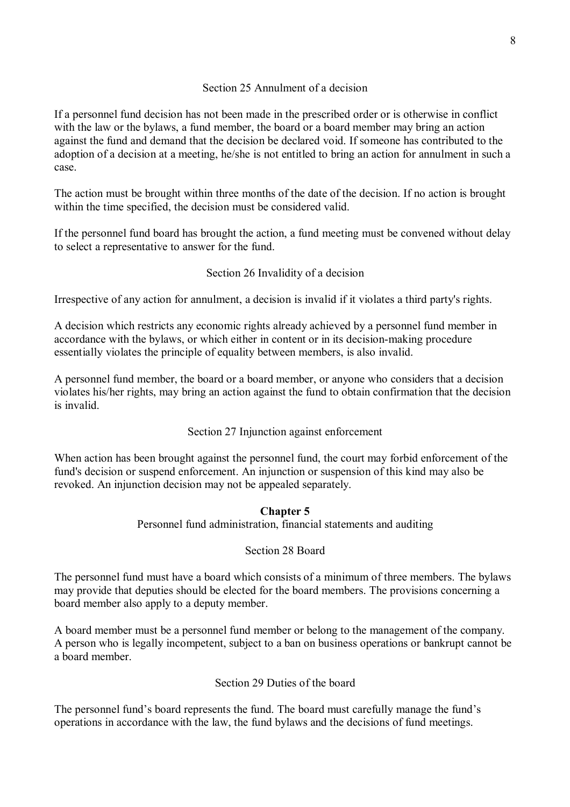## Section 25 Annulment of a decision

If a personnel fund decision has not been made in the prescribed order or is otherwise in conflict with the law or the bylaws, a fund member, the board or a board member may bring an action against the fund and demand that the decision be declared void. If someone has contributed to the adoption of a decision at a meeting, he/she is not entitled to bring an action for annulment in such a case.

The action must be brought within three months of the date of the decision. If no action is brought within the time specified, the decision must be considered valid.

If the personnel fund board has brought the action, a fund meeting must be convened without delay to select a representative to answer for the fund.

### Section 26 Invalidity of a decision

Irrespective of any action for annulment, a decision is invalid if it violates a third party's rights.

A decision which restricts any economic rights already achieved by a personnel fund member in accordance with the bylaws, or which either in content or in its decision-making procedure essentially violates the principle of equality between members, is also invalid.

A personnel fund member, the board or a board member, or anyone who considers that a decision violates his/her rights, may bring an action against the fund to obtain confirmation that the decision is invalid.

### Section 27 Injunction against enforcement

When action has been brought against the personnel fund, the court may forbid enforcement of the fund's decision or suspend enforcement. An injunction or suspension of this kind may also be revoked. An injunction decision may not be appealed separately.

### **Chapter 5**

Personnel fund administration, financial statements and auditing

### Section 28 Board

The personnel fund must have a board which consists of a minimum of three members. The bylaws may provide that deputies should be elected for the board members. The provisions concerning a board member also apply to a deputy member.

A board member must be a personnel fund member or belong to the management of the company. A person who is legally incompetent, subject to a ban on business operations or bankrupt cannot be a board member.

### Section 29 Duties of the board

The personnel fund's board represents the fund. The board must carefully manage the fund's operations in accordance with the law, the fund bylaws and the decisions of fund meetings.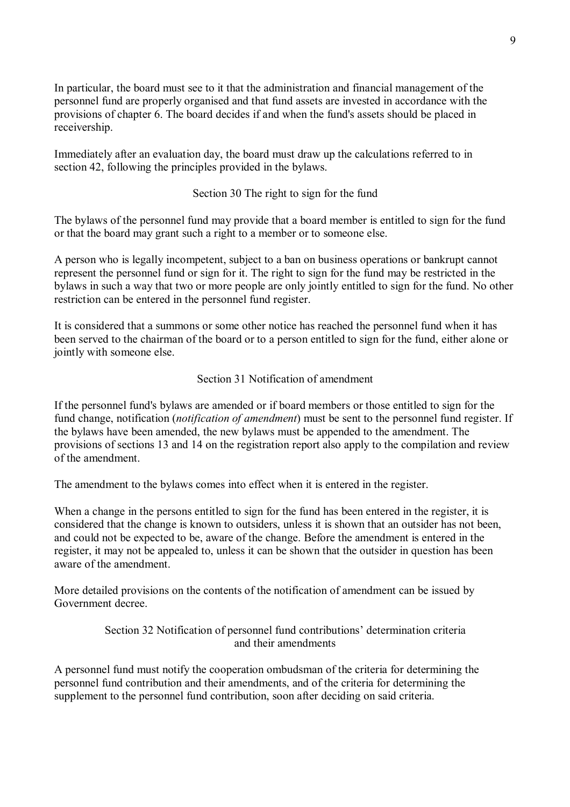In particular, the board must see to it that the administration and financial management of the personnel fund are properly organised and that fund assets are invested in accordance with the provisions of chapter 6. The board decides if and when the fund's assets should be placed in receivership.

Immediately after an evaluation day, the board must draw up the calculations referred to in section 42, following the principles provided in the bylaws.

### Section 30 The right to sign for the fund

The bylaws of the personnel fund may provide that a board member is entitled to sign for the fund or that the board may grant such a right to a member or to someone else.

A person who is legally incompetent, subject to a ban on business operations or bankrupt cannot represent the personnel fund or sign for it. The right to sign for the fund may be restricted in the bylaws in such a way that two or more people are only jointly entitled to sign for the fund. No other restriction can be entered in the personnel fund register.

It is considered that a summons or some other notice has reached the personnel fund when it has been served to the chairman of the board or to a person entitled to sign for the fund, either alone or jointly with someone else.

### Section 31 Notification of amendment

If the personnel fund's bylaws are amended or if board members or those entitled to sign for the fund change, notification (*notification of amendment*) must be sent to the personnel fund register. If the bylaws have been amended, the new bylaws must be appended to the amendment. The provisions of sections 13 and 14 on the registration report also apply to the compilation and review of the amendment.

The amendment to the bylaws comes into effect when it is entered in the register.

When a change in the persons entitled to sign for the fund has been entered in the register, it is considered that the change is known to outsiders, unless it is shown that an outsider has not been, and could not be expected to be, aware of the change. Before the amendment is entered in the register, it may not be appealed to, unless it can be shown that the outsider in question has been aware of the amendment.

More detailed provisions on the contents of the notification of amendment can be issued by Government decree.

> Section 32 Notification of personnel fund contributions' determination criteria and their amendments

A personnel fund must notify the cooperation ombudsman of the criteria for determining the personnel fund contribution and their amendments, and of the criteria for determining the supplement to the personnel fund contribution, soon after deciding on said criteria.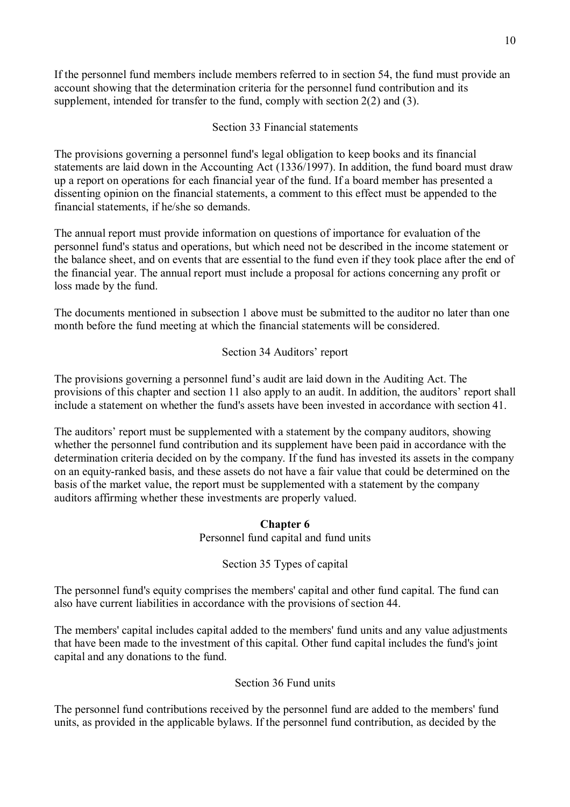If the personnel fund members include members referred to in section 54, the fund must provide an account showing that the determination criteria for the personnel fund contribution and its supplement, intended for transfer to the fund, comply with section 2(2) and (3).

# Section 33 Financial statements

The provisions governing a personnel fund's legal obligation to keep books and its financial statements are laid down in the Accounting Act (1336/1997). In addition, the fund board must draw up a report on operations for each financial year of the fund. If a board member has presented a dissenting opinion on the financial statements, a comment to this effect must be appended to the financial statements, if he/she so demands.

The annual report must provide information on questions of importance for evaluation of the personnel fund's status and operations, but which need not be described in the income statement or the balance sheet, and on events that are essential to the fund even if they took place after the end of the financial year. The annual report must include a proposal for actions concerning any profit or loss made by the fund.

The documents mentioned in subsection 1 above must be submitted to the auditor no later than one month before the fund meeting at which the financial statements will be considered.

# Section 34 Auditors' report

The provisions governing a personnel fund's audit are laid down in the Auditing Act. The provisions of this chapter and section 11 also apply to an audit. In addition, the auditors' report shall include a statement on whether the fund's assets have been invested in accordance with section 41.

The auditors' report must be supplemented with a statement by the company auditors, showing whether the personnel fund contribution and its supplement have been paid in accordance with the determination criteria decided on by the company. If the fund has invested its assets in the company on an equity-ranked basis, and these assets do not have a fair value that could be determined on the basis of the market value, the report must be supplemented with a statement by the company auditors affirming whether these investments are properly valued.

# **Chapter 6**

Personnel fund capital and fund units

Section 35 Types of capital

The personnel fund's equity comprises the members' capital and other fund capital. The fund can also have current liabilities in accordance with the provisions of section 44.

The members' capital includes capital added to the members' fund units and any value adjustments that have been made to the investment of this capital. Other fund capital includes the fund's joint capital and any donations to the fund.

# Section 36 Fund units

The personnel fund contributions received by the personnel fund are added to the members' fund units, as provided in the applicable bylaws. If the personnel fund contribution, as decided by the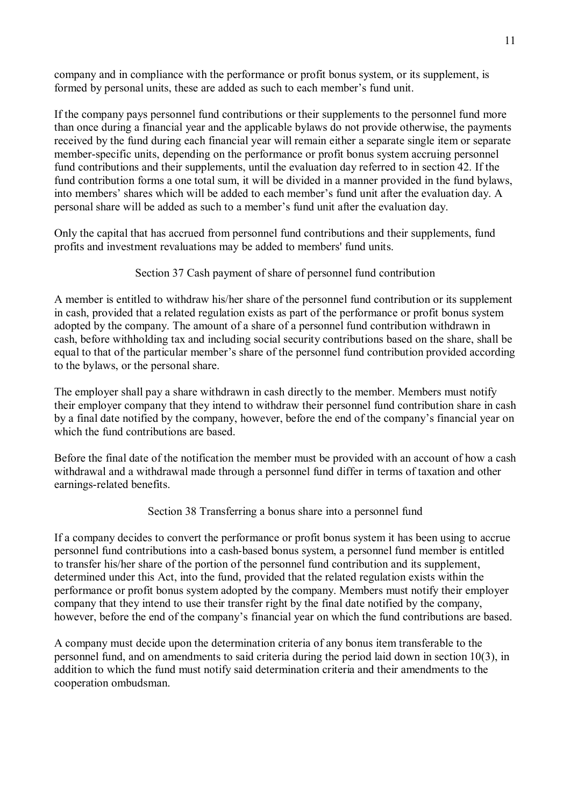company and in compliance with the performance or profit bonus system, or its supplement, is formed by personal units, these are added as such to each member's fund unit.

If the company pays personnel fund contributions or their supplements to the personnel fund more than once during a financial year and the applicable bylaws do not provide otherwise, the payments received by the fund during each financial year will remain either a separate single item or separate member-specific units, depending on the performance or profit bonus system accruing personnel fund contributions and their supplements, until the evaluation day referred to in section 42. If the fund contribution forms a one total sum, it will be divided in a manner provided in the fund bylaws, into members' shares which will be added to each member's fund unit after the evaluation day. A personal share will be added as such to a member's fund unit after the evaluation day.

Only the capital that has accrued from personnel fund contributions and their supplements, fund profits and investment revaluations may be added to members' fund units.

### Section 37 Cash payment of share of personnel fund contribution

A member is entitled to withdraw his/her share of the personnel fund contribution or its supplement in cash, provided that a related regulation exists as part of the performance or profit bonus system adopted by the company. The amount of a share of a personnel fund contribution withdrawn in cash, before withholding tax and including social security contributions based on the share, shall be equal to that of the particular member's share of the personnel fund contribution provided according to the bylaws, or the personal share.

The employer shall pay a share withdrawn in cash directly to the member. Members must notify their employer company that they intend to withdraw their personnel fund contribution share in cash by a final date notified by the company, however, before the end of the company's financial year on which the fund contributions are based.

Before the final date of the notification the member must be provided with an account of how a cash withdrawal and a withdrawal made through a personnel fund differ in terms of taxation and other earnings-related benefits.

### Section 38 Transferring a bonus share into a personnel fund

If a company decides to convert the performance or profit bonus system it has been using to accrue personnel fund contributions into a cash-based bonus system, a personnel fund member is entitled to transfer his/her share of the portion of the personnel fund contribution and its supplement, determined under this Act, into the fund, provided that the related regulation exists within the performance or profit bonus system adopted by the company. Members must notify their employer company that they intend to use their transfer right by the final date notified by the company, however, before the end of the company's financial year on which the fund contributions are based.

A company must decide upon the determination criteria of any bonus item transferable to the personnel fund, and on amendments to said criteria during the period laid down in section 10(3), in addition to which the fund must notify said determination criteria and their amendments to the cooperation ombudsman.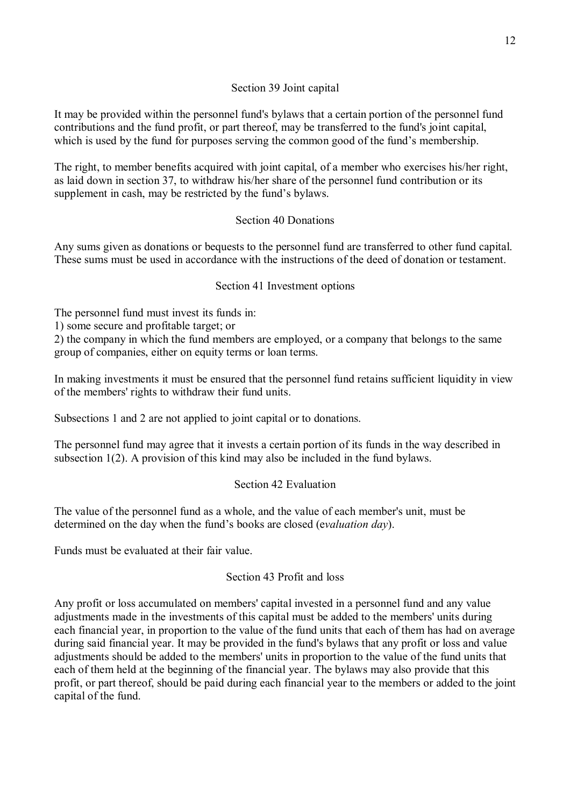# Section 39 Joint capital

It may be provided within the personnel fund's bylaws that a certain portion of the personnel fund contributions and the fund profit, or part thereof, may be transferred to the fund's joint capital, which is used by the fund for purposes serving the common good of the fund's membership.

The right, to member benefits acquired with joint capital, of a member who exercises his/her right, as laid down in section 37, to withdraw his/her share of the personnel fund contribution or its supplement in cash, may be restricted by the fund's bylaws.

# Section 40 Donations

Any sums given as donations or bequests to the personnel fund are transferred to other fund capital. These sums must be used in accordance with the instructions of the deed of donation or testament.

# Section 41 Investment options

The personnel fund must invest its funds in:

1) some secure and profitable target; or

2) the company in which the fund members are employed, or a company that belongs to the same group of companies, either on equity terms or loan terms.

In making investments it must be ensured that the personnel fund retains sufficient liquidity in view of the members' rights to withdraw their fund units.

Subsections 1 and 2 are not applied to joint capital or to donations.

The personnel fund may agree that it invests a certain portion of its funds in the way described in subsection 1(2). A provision of this kind may also be included in the fund bylaws.

# Section 42 Evaluation

The value of the personnel fund as a whole, and the value of each member's unit, must be determined on the day when the fund's books are closed (e*valuation day*).

Funds must be evaluated at their fair value.

# Section 43 Profit and loss

Any profit or loss accumulated on members' capital invested in a personnel fund and any value adjustments made in the investments of this capital must be added to the members' units during each financial year, in proportion to the value of the fund units that each of them has had on average during said financial year. It may be provided in the fund's bylaws that any profit or loss and value adjustments should be added to the members' units in proportion to the value of the fund units that each of them held at the beginning of the financial year. The bylaws may also provide that this profit, or part thereof, should be paid during each financial year to the members or added to the joint capital of the fund.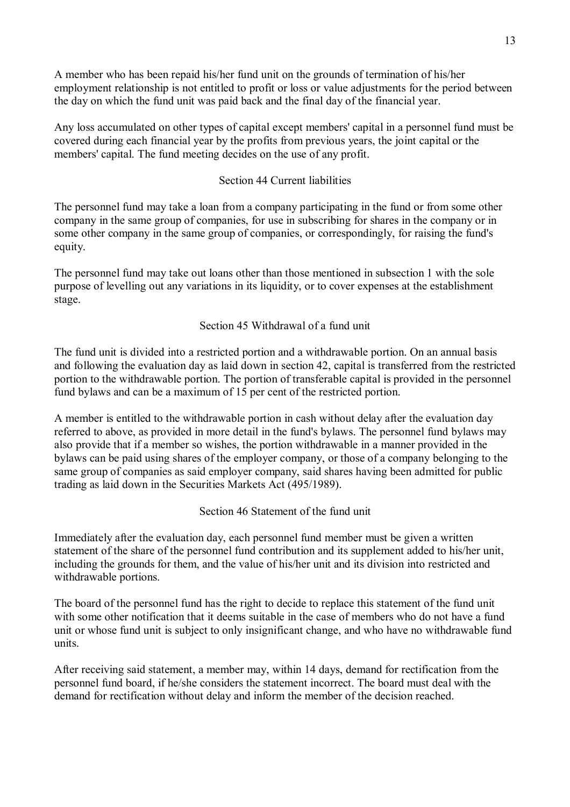A member who has been repaid his/her fund unit on the grounds of termination of his/her employment relationship is not entitled to profit or loss or value adjustments for the period between the day on which the fund unit was paid back and the final day of the financial year.

Any loss accumulated on other types of capital except members' capital in a personnel fund must be covered during each financial year by the profits from previous years, the joint capital or the members' capital. The fund meeting decides on the use of any profit.

# Section 44 Current liabilities

The personnel fund may take a loan from a company participating in the fund or from some other company in the same group of companies, for use in subscribing for shares in the company or in some other company in the same group of companies, or correspondingly, for raising the fund's equity.

The personnel fund may take out loans other than those mentioned in subsection 1 with the sole purpose of levelling out any variations in its liquidity, or to cover expenses at the establishment stage.

### Section 45 Withdrawal of a fund unit

The fund unit is divided into a restricted portion and a withdrawable portion. On an annual basis and following the evaluation day as laid down in section 42, capital is transferred from the restricted portion to the withdrawable portion. The portion of transferable capital is provided in the personnel fund bylaws and can be a maximum of 15 per cent of the restricted portion.

A member is entitled to the withdrawable portion in cash without delay after the evaluation day referred to above, as provided in more detail in the fund's bylaws. The personnel fund bylaws may also provide that if a member so wishes, the portion withdrawable in a manner provided in the bylaws can be paid using shares of the employer company, or those of a company belonging to the same group of companies as said employer company, said shares having been admitted for public trading as laid down in the Securities Markets Act (495/1989).

# Section 46 Statement of the fund unit

Immediately after the evaluation day, each personnel fund member must be given a written statement of the share of the personnel fund contribution and its supplement added to his/her unit, including the grounds for them, and the value of his/her unit and its division into restricted and withdrawable portions.

The board of the personnel fund has the right to decide to replace this statement of the fund unit with some other notification that it deems suitable in the case of members who do not have a fund unit or whose fund unit is subject to only insignificant change, and who have no withdrawable fund units.

After receiving said statement, a member may, within 14 days, demand for rectification from the personnel fund board, if he/she considers the statement incorrect. The board must deal with the demand for rectification without delay and inform the member of the decision reached.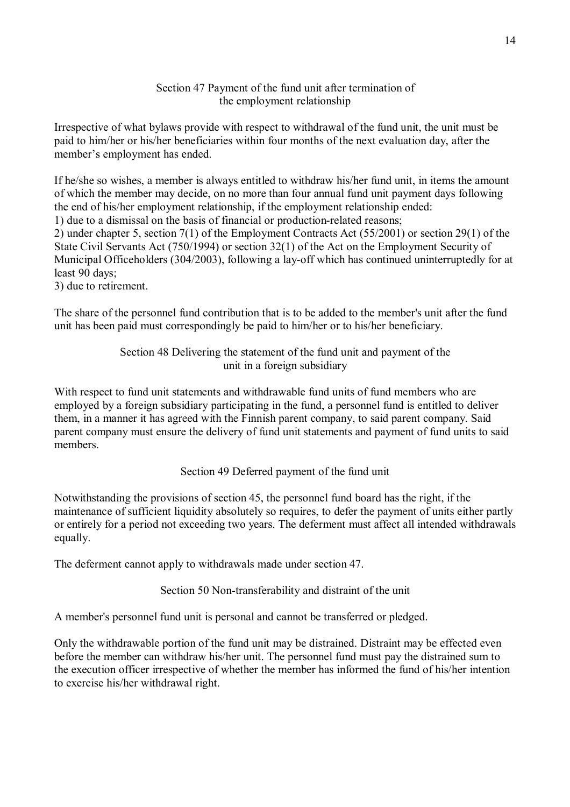### Section 47 Payment of the fund unit after termination of the employment relationship

Irrespective of what bylaws provide with respect to withdrawal of the fund unit, the unit must be paid to him/her or his/her beneficiaries within four months of the next evaluation day, after the member's employment has ended.

If he/she so wishes, a member is always entitled to withdraw his/her fund unit, in items the amount of which the member may decide, on no more than four annual fund unit payment days following the end of his/her employment relationship, if the employment relationship ended:

1) due to a dismissal on the basis of financial or production-related reasons;

2) under chapter 5, section 7(1) of the Employment Contracts Act (55/2001) or section 29(1) of the State Civil Servants Act (750/1994) or section 32(1) of the Act on the Employment Security of Municipal Officeholders (304/2003), following a lay-off which has continued uninterruptedly for at least 90 days;

3) due to retirement.

The share of the personnel fund contribution that is to be added to the member's unit after the fund unit has been paid must correspondingly be paid to him/her or to his/her beneficiary.

# Section 48 Delivering the statement of the fund unit and payment of the unit in a foreign subsidiary

With respect to fund unit statements and withdrawable fund units of fund members who are employed by a foreign subsidiary participating in the fund, a personnel fund is entitled to deliver them, in a manner it has agreed with the Finnish parent company, to said parent company. Said parent company must ensure the delivery of fund unit statements and payment of fund units to said members.

Section 49 Deferred payment of the fund unit

Notwithstanding the provisions of section 45, the personnel fund board has the right, if the maintenance of sufficient liquidity absolutely so requires, to defer the payment of units either partly or entirely for a period not exceeding two years. The deferment must affect all intended withdrawals equally.

The deferment cannot apply to withdrawals made under section 47.

Section 50 Non-transferability and distraint of the unit

A member's personnel fund unit is personal and cannot be transferred or pledged.

Only the withdrawable portion of the fund unit may be distrained. Distraint may be effected even before the member can withdraw his/her unit. The personnel fund must pay the distrained sum to the execution officer irrespective of whether the member has informed the fund of his/her intention to exercise his/her withdrawal right.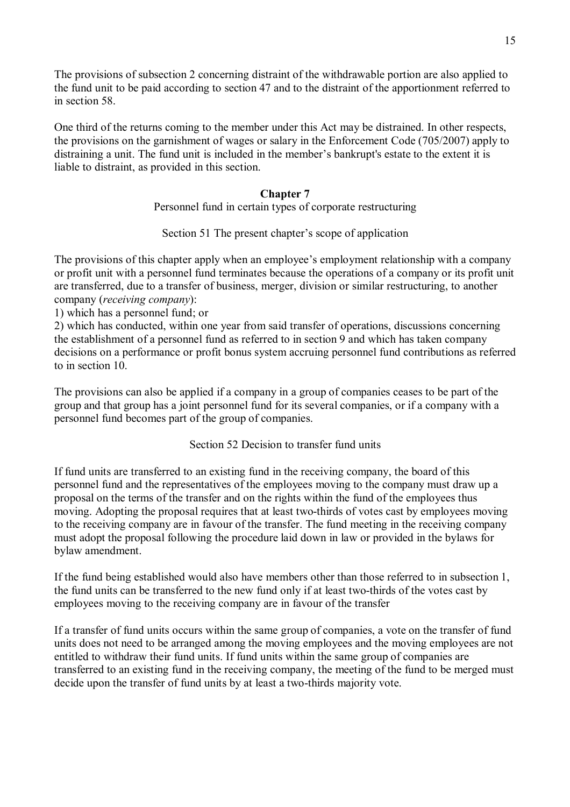The provisions of subsection 2 concerning distraint of the withdrawable portion are also applied to the fund unit to be paid according to section 47 and to the distraint of the apportionment referred to in section 58.

One third of the returns coming to the member under this Act may be distrained. In other respects, the provisions on the garnishment of wages or salary in the Enforcement Code (705/2007) apply to distraining a unit. The fund unit is included in the member's bankrupt's estate to the extent it is liable to distraint, as provided in this section.

## **Chapter 7**

Personnel fund in certain types of corporate restructuring

Section 51 The present chapter's scope of application

The provisions of this chapter apply when an employee's employment relationship with a company or profit unit with a personnel fund terminates because the operations of a company or its profit unit are transferred, due to a transfer of business, merger, division or similar restructuring, to another company (*receiving company*):

1) which has a personnel fund; or

2) which has conducted, within one year from said transfer of operations, discussions concerning the establishment of a personnel fund as referred to in section 9 and which has taken company decisions on a performance or profit bonus system accruing personnel fund contributions as referred to in section 10.

The provisions can also be applied if a company in a group of companies ceases to be part of the group and that group has a joint personnel fund for its several companies, or if a company with a personnel fund becomes part of the group of companies.

Section 52 Decision to transfer fund units

If fund units are transferred to an existing fund in the receiving company, the board of this personnel fund and the representatives of the employees moving to the company must draw up a proposal on the terms of the transfer and on the rights within the fund of the employees thus moving. Adopting the proposal requires that at least two-thirds of votes cast by employees moving to the receiving company are in favour of the transfer. The fund meeting in the receiving company must adopt the proposal following the procedure laid down in law or provided in the bylaws for bylaw amendment.

If the fund being established would also have members other than those referred to in subsection 1, the fund units can be transferred to the new fund only if at least two-thirds of the votes cast by employees moving to the receiving company are in favour of the transfer

If a transfer of fund units occurs within the same group of companies, a vote on the transfer of fund units does not need to be arranged among the moving employees and the moving employees are not entitled to withdraw their fund units. If fund units within the same group of companies are transferred to an existing fund in the receiving company, the meeting of the fund to be merged must decide upon the transfer of fund units by at least a two-thirds majority vote.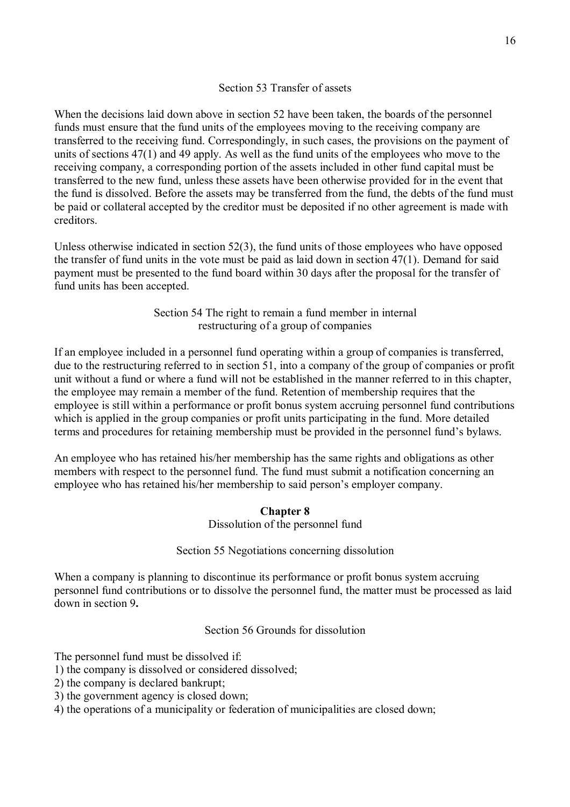### Section 53 Transfer of assets

When the decisions laid down above in section 52 have been taken, the boards of the personnel funds must ensure that the fund units of the employees moving to the receiving company are transferred to the receiving fund. Correspondingly, in such cases, the provisions on the payment of units of sections 47(1) and 49 apply. As well as the fund units of the employees who move to the receiving company, a corresponding portion of the assets included in other fund capital must be transferred to the new fund, unless these assets have been otherwise provided for in the event that the fund is dissolved. Before the assets may be transferred from the fund, the debts of the fund must be paid or collateral accepted by the creditor must be deposited if no other agreement is made with creditors.

Unless otherwise indicated in section 52(3), the fund units of those employees who have opposed the transfer of fund units in the vote must be paid as laid down in section 47(1). Demand for said payment must be presented to the fund board within 30 days after the proposal for the transfer of fund units has been accepted.

> Section 54 The right to remain a fund member in internal restructuring of a group of companies

If an employee included in a personnel fund operating within a group of companies is transferred, due to the restructuring referred to in section 51, into a company of the group of companies or profit unit without a fund or where a fund will not be established in the manner referred to in this chapter, the employee may remain a member of the fund. Retention of membership requires that the employee is still within a performance or profit bonus system accruing personnel fund contributions which is applied in the group companies or profit units participating in the fund. More detailed terms and procedures for retaining membership must be provided in the personnel fund's bylaws.

An employee who has retained his/her membership has the same rights and obligations as other members with respect to the personnel fund. The fund must submit a notification concerning an employee who has retained his/her membership to said person's employer company.

### **Chapter 8**

Dissolution of the personnel fund

### Section 55 Negotiations concerning dissolution

When a company is planning to discontinue its performance or profit bonus system accruing personnel fund contributions or to dissolve the personnel fund, the matter must be processed as laid down in section 9**.**

### Section 56 Grounds for dissolution

The personnel fund must be dissolved if:

- 1) the company is dissolved or considered dissolved;
- 2) the company is declared bankrupt;
- 3) the government agency is closed down;
- 4) the operations of a municipality or federation of municipalities are closed down;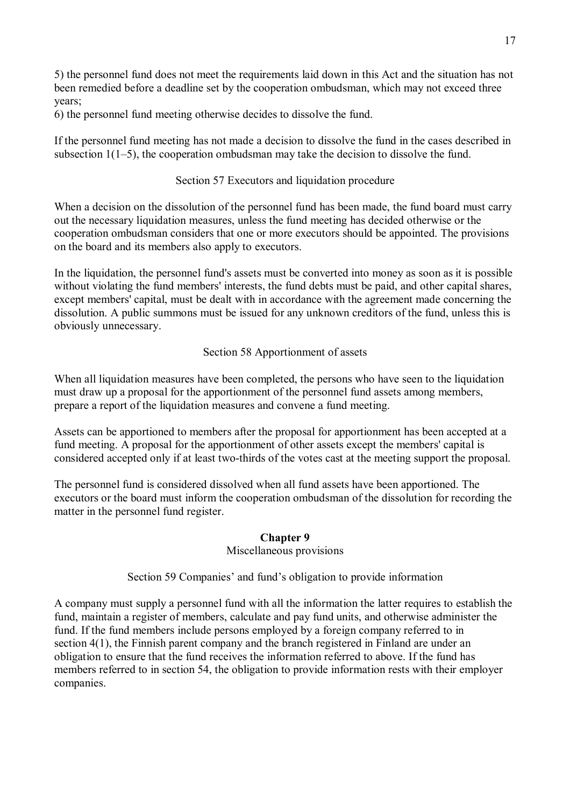5) the personnel fund does not meet the requirements laid down in this Act and the situation has not been remedied before a deadline set by the cooperation ombudsman, which may not exceed three years;

6) the personnel fund meeting otherwise decides to dissolve the fund.

If the personnel fund meeting has not made a decision to dissolve the fund in the cases described in subsection 1(1–5), the cooperation ombudsman may take the decision to dissolve the fund.

## Section 57 Executors and liquidation procedure

When a decision on the dissolution of the personnel fund has been made, the fund board must carry out the necessary liquidation measures, unless the fund meeting has decided otherwise or the cooperation ombudsman considers that one or more executors should be appointed. The provisions on the board and its members also apply to executors.

In the liquidation, the personnel fund's assets must be converted into money as soon as it is possible without violating the fund members' interests, the fund debts must be paid, and other capital shares, except members' capital, must be dealt with in accordance with the agreement made concerning the dissolution. A public summons must be issued for any unknown creditors of the fund, unless this is obviously unnecessary.

### Section 58 Apportionment of assets

When all liquidation measures have been completed, the persons who have seen to the liquidation must draw up a proposal for the apportionment of the personnel fund assets among members, prepare a report of the liquidation measures and convene a fund meeting.

Assets can be apportioned to members after the proposal for apportionment has been accepted at a fund meeting. A proposal for the apportionment of other assets except the members' capital is considered accepted only if at least two-thirds of the votes cast at the meeting support the proposal.

The personnel fund is considered dissolved when all fund assets have been apportioned. The executors or the board must inform the cooperation ombudsman of the dissolution for recording the matter in the personnel fund register.

### **Chapter 9**

#### Miscellaneous provisions

Section 59 Companies' and fund's obligation to provide information

A company must supply a personnel fund with all the information the latter requires to establish the fund, maintain a register of members, calculate and pay fund units, and otherwise administer the fund. If the fund members include persons employed by a foreign company referred to in section 4(1), the Finnish parent company and the branch registered in Finland are under an obligation to ensure that the fund receives the information referred to above. If the fund has members referred to in section 54, the obligation to provide information rests with their employer companies.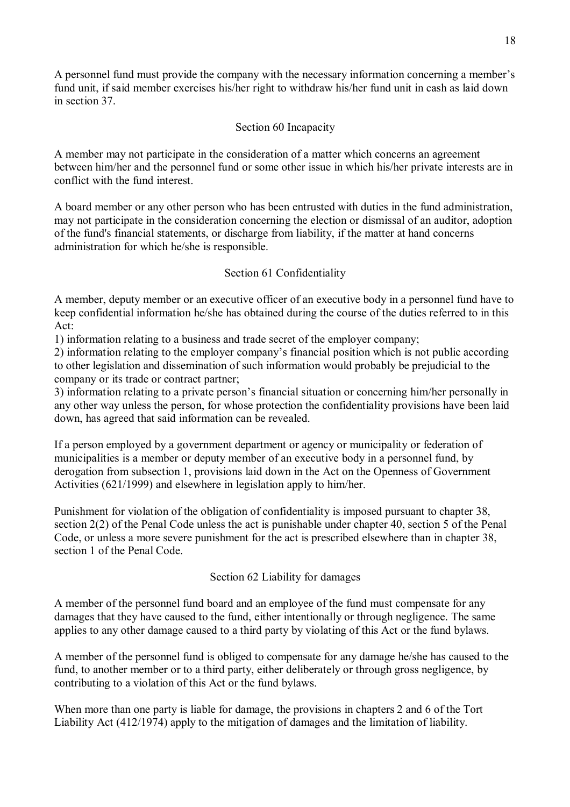A personnel fund must provide the company with the necessary information concerning a member's fund unit, if said member exercises his/her right to withdraw his/her fund unit in cash as laid down in section 37.

## Section 60 Incapacity

A member may not participate in the consideration of a matter which concerns an agreement between him/her and the personnel fund or some other issue in which his/her private interests are in conflict with the fund interest.

A board member or any other person who has been entrusted with duties in the fund administration, may not participate in the consideration concerning the election or dismissal of an auditor, adoption of the fund's financial statements, or discharge from liability, if the matter at hand concerns administration for which he/she is responsible.

# Section 61 Confidentiality

A member, deputy member or an executive officer of an executive body in a personnel fund have to keep confidential information he/she has obtained during the course of the duties referred to in this Act:

1) information relating to a business and trade secret of the employer company;

2) information relating to the employer company's financial position which is not public according to other legislation and dissemination of such information would probably be prejudicial to the company or its trade or contract partner;

3) information relating to a private person's financial situation or concerning him/her personally in any other way unless the person, for whose protection the confidentiality provisions have been laid down, has agreed that said information can be revealed.

If a person employed by a government department or agency or municipality or federation of municipalities is a member or deputy member of an executive body in a personnel fund, by derogation from subsection 1, provisions laid down in the Act on the Openness of Government Activities (621/1999) and elsewhere in legislation apply to him/her.

Punishment for violation of the obligation of confidentiality is imposed pursuant to chapter 38, section 2(2) of the Penal Code unless the act is punishable under chapter 40, section 5 of the Penal Code, or unless a more severe punishment for the act is prescribed elsewhere than in chapter 38, section 1 of the Penal Code.

Section 62 Liability for damages

A member of the personnel fund board and an employee of the fund must compensate for any damages that they have caused to the fund, either intentionally or through negligence. The same applies to any other damage caused to a third party by violating of this Act or the fund bylaws.

A member of the personnel fund is obliged to compensate for any damage he/she has caused to the fund, to another member or to a third party, either deliberately or through gross negligence, by contributing to a violation of this Act or the fund bylaws.

When more than one party is liable for damage, the provisions in chapters 2 and 6 of the Tort Liability Act (412/1974) apply to the mitigation of damages and the limitation of liability.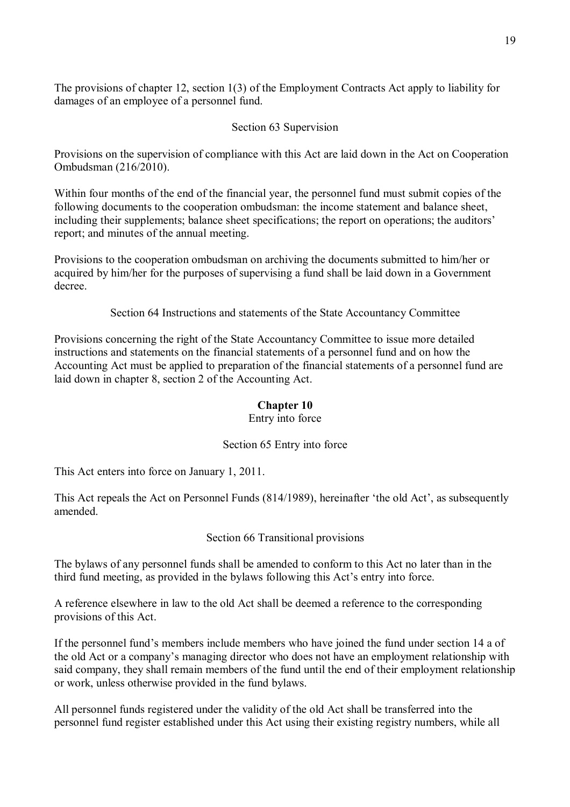The provisions of chapter 12, section 1(3) of the Employment Contracts Act apply to liability for damages of an employee of a personnel fund.

# Section 63 Supervision

Provisions on the supervision of compliance with this Act are laid down in the Act on Cooperation Ombudsman (216/2010).

Within four months of the end of the financial year, the personnel fund must submit copies of the following documents to the cooperation ombudsman: the income statement and balance sheet, including their supplements; balance sheet specifications; the report on operations; the auditors' report; and minutes of the annual meeting.

Provisions to the cooperation ombudsman on archiving the documents submitted to him/her or acquired by him/her for the purposes of supervising a fund shall be laid down in a Government decree.

Section 64 Instructions and statements of the State Accountancy Committee

Provisions concerning the right of the State Accountancy Committee to issue more detailed instructions and statements on the financial statements of a personnel fund and on how the Accounting Act must be applied to preparation of the financial statements of a personnel fund are laid down in chapter 8, section 2 of the Accounting Act.

# **Chapter 10**

Entry into force

# Section 65 Entry into force

This Act enters into force on January 1, 2011.

This Act repeals the Act on Personnel Funds (814/1989), hereinafter 'the old Act', as subsequently amended.

Section 66 Transitional provisions

The bylaws of any personnel funds shall be amended to conform to this Act no later than in the third fund meeting, as provided in the bylaws following this Act's entry into force.

A reference elsewhere in law to the old Act shall be deemed a reference to the corresponding provisions of this Act.

If the personnel fund's members include members who have joined the fund under section 14 a of the old Act or a company's managing director who does not have an employment relationship with said company, they shall remain members of the fund until the end of their employment relationship or work, unless otherwise provided in the fund bylaws.

All personnel funds registered under the validity of the old Act shall be transferred into the personnel fund register established under this Act using their existing registry numbers, while all